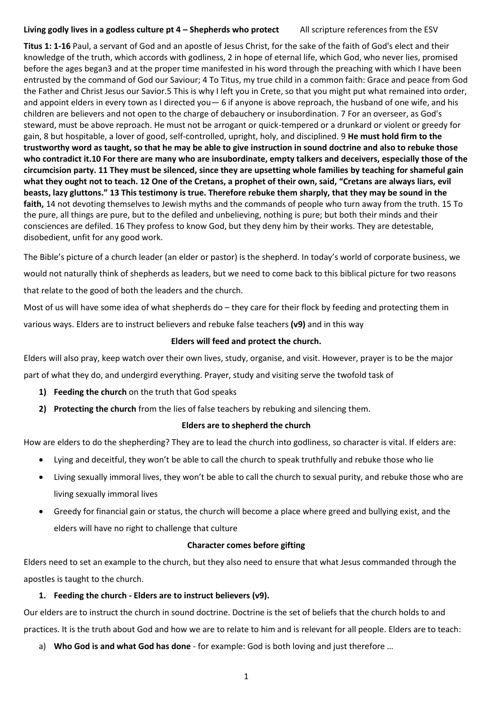#### **Living godly lives in a godless culture pt 4 – Shepherds who protect** All scripture references from the ESV

**Titus 1: 1-16** Paul, a servant of God and an apostle of Jesus Christ, for the sake of the faith of God's elect and their knowledge of the truth, which accords with godliness, 2 in hope of eternal life, which God, who never lies, promised before the ages began3 and at the proper time manifested in his word through the preaching with which I have been entrusted by the command of God our Saviour; 4 To Titus, my true child in a common faith: Grace and peace from God the Father and Christ Jesus our Savior.5 This is why I left you in Crete, so that you might put what remained into order, and appoint elders in every town as I directed you— 6 if anyone is above reproach, the husband of one wife, and his children are believers and not open to the charge of debauchery or insubordination. 7 For an overseer, as God's steward, must be above reproach. He must not be arrogant or quick-tempered or a drunkard or violent or greedy for gain, 8 but hospitable, a lover of good, self-controlled, upright, holy, and disciplined. 9 **He must hold firm to the trustworthy word as taught, so that he may be able to give instruction in sound doctrine and also to rebuke those who contradict it.10 For there are many who are insubordinate, empty talkers and deceivers, especially those of the circumcision party. 11 They must be silenced, since they are upsetting whole families by teaching for shameful gain what they ought not to teach. 12 One of the Cretans, a prophet of their own, said, "Cretans are always liars, evil beasts, lazy gluttons." 13 This testimony is true. Therefore rebuke them sharply, that they may be sound in the faith,** 14 not devoting themselves to Jewish myths and the commands of people who turn away from the truth. 15 To the pure, all things are pure, but to the defiled and unbelieving, nothing is pure; but both their minds and their consciences are defiled. 16 They profess to know God, but they deny him by their works. They are detestable, disobedient, unfit for any good work.

The Bible's picture of a church leader (an elder or pastor) is the shepherd. In today's world of corporate business, we would not naturally think of shepherds as leaders, but we need to come back to this biblical picture for two reasons that relate to the good of both the leaders and the church.

Most of us will have some idea of what shepherds do – they care for their flock by feeding and protecting them in various ways. Elders are to instruct believers and rebuke false teachers **(v9)** and in this way

#### **Elders will feed and protect the church.**

Elders will also pray, keep watch over their own lives, study, organise, and visit. However, prayer is to be the major

part of what they do, and undergird everything. Prayer, study and visiting serve the twofold task of

- **1) Feeding the church** on the truth that God speaks
- **2) Protecting the church** from the lies of false teachers by rebuking and silencing them.

#### **Elders are to shepherd the church**

How are elders to do the shepherding? They are to lead the church into godliness, so character is vital. If elders are:

- Lying and deceitful, they won't be able to call the church to speak truthfully and rebuke those who lie
- Living sexually immoral lives, they won't be able to call the church to sexual purity, and rebuke those who are living sexually immoral lives
- Greedy for financial gain or status, the church will become a place where greed and bullying exist, and the elders will have no right to challenge that culture

#### **Character comes before gifting**

Elders need to set an example to the church, but they also need to ensure that what Jesus commanded through the apostles is taught to the church.

#### **1. Feeding the church - Elders are to instruct believers (v9).**

Our elders are to instruct the church in sound doctrine. Doctrine is the set of beliefs that the church holds to and practices. It is the truth about God and how we are to relate to him and is relevant for all people. Elders are to teach:

a) **Who God is and what God has done** - for example: God is both loving and just therefore …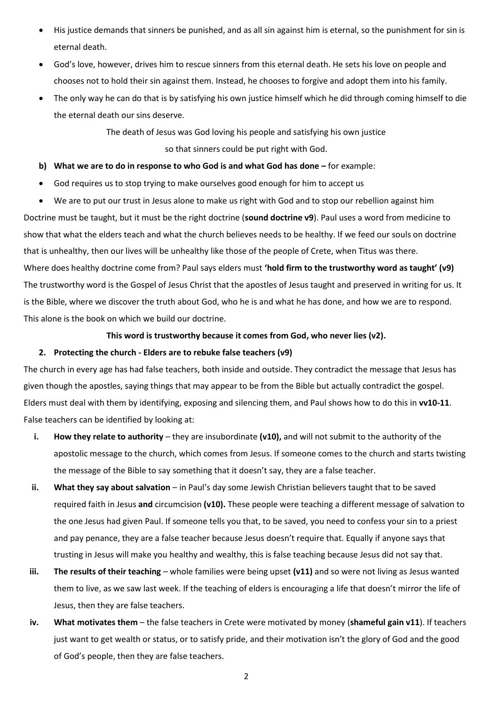- His justice demands that sinners be punished, and as all sin against him is eternal, so the punishment for sin is eternal death.
- God's love, however, drives him to rescue sinners from this eternal death. He sets his love on people and chooses not to hold their sin against them. Instead, he chooses to forgive and adopt them into his family.
- The only way he can do that is by satisfying his own justice himself which he did through coming himself to die the eternal death our sins deserve.

The death of Jesus was God loving his people and satisfying his own justice so that sinners could be put right with God.

- **b) What we are to do in response to who God is and what God has done –** for example:
- God requires us to stop trying to make ourselves good enough for him to accept us
- We are to put our trust in Jesus alone to make us right with God and to stop our rebellion against him Doctrine must be taught, but it must be the right doctrine (**sound doctrine v9**). Paul uses a word from medicine to show that what the elders teach and what the church believes needs to be healthy. If we feed our souls on doctrine that is unhealthy, then our lives will be unhealthy like those of the people of Crete, when Titus was there. Where does healthy doctrine come from? Paul says elders must **'hold firm to the trustworthy word as taught' (v9)** The trustworthy word is the Gospel of Jesus Christ that the apostles of Jesus taught and preserved in writing for us. It is the Bible, where we discover the truth about God, who he is and what he has done, and how we are to respond. This alone is the book on which we build our doctrine.

#### **This word is trustworthy because it comes from God, who never lies (v2).**

#### **2. Protecting the church - Elders are to rebuke false teachers (v9)**

The church in every age has had false teachers, both inside and outside. They contradict the message that Jesus has given though the apostles, saying things that may appear to be from the Bible but actually contradict the gospel. Elders must deal with them by identifying, exposing and silencing them, and Paul shows how to do this in **vv10-11**. False teachers can be identified by looking at:

- **i. How they relate to authority** they are insubordinate **(v10),** and will not submit to the authority of the apostolic message to the church, which comes from Jesus. If someone comes to the church and starts twisting the message of the Bible to say something that it doesn't say, they are a false teacher.
- **ii.** What they say about salvation in Paul's day some Jewish Christian believers taught that to be saved required faith in Jesus **and** circumcision **(v10).** These people were teaching a different message of salvation to the one Jesus had given Paul. If someone tells you that, to be saved, you need to confess your sin to a priest and pay penance, they are a false teacher because Jesus doesn't require that. Equally if anyone says that trusting in Jesus will make you healthy and wealthy, this is false teaching because Jesus did not say that.
- **iii.** The results of their teaching whole families were being upset (v11) and so were not living as Jesus wanted them to live, as we saw last week. If the teaching of elders is encouraging a life that doesn't mirror the life of Jesus, then they are false teachers.
- **iv. What motivates them**  the false teachers in Crete were motivated by money (**shameful gain v11**). If teachers just want to get wealth or status, or to satisfy pride, and their motivation isn't the glory of God and the good of God's people, then they are false teachers.